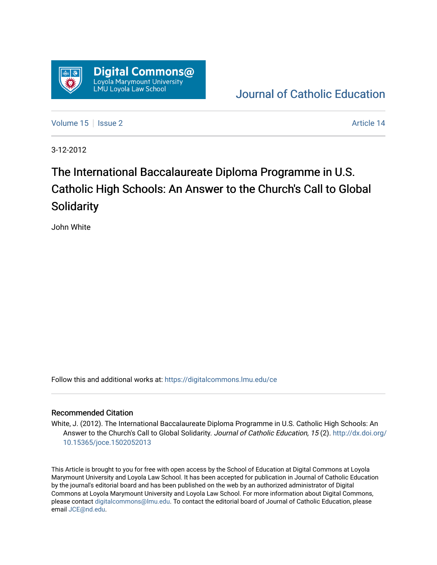

## [Journal of Catholic Education](https://digitalcommons.lmu.edu/ce)

[Volume 15](https://digitalcommons.lmu.edu/ce/vol15) Setsue 2 Article 14

3-12-2012

# The International Baccalaureate Diploma Programme in U.S. Catholic High Schools: An Answer to the Church's Call to Global **Solidarity**

John White

Follow this and additional works at: [https://digitalcommons.lmu.edu/ce](https://digitalcommons.lmu.edu/ce?utm_source=digitalcommons.lmu.edu%2Fce%2Fvol15%2Fiss2%2F14&utm_medium=PDF&utm_campaign=PDFCoverPages)

#### Recommended Citation

White, J. (2012). The International Baccalaureate Diploma Programme in U.S. Catholic High Schools: An Answer to the Church's Call to Global Solidarity. Journal of Catholic Education, 15 (2). [http://dx.doi.org/](http://dx.doi.org/10.15365/joce.1502052013) [10.15365/joce.1502052013](http://dx.doi.org/10.15365/joce.1502052013) 

This Article is brought to you for free with open access by the School of Education at Digital Commons at Loyola Marymount University and Loyola Law School. It has been accepted for publication in Journal of Catholic Education by the journal's editorial board and has been published on the web by an authorized administrator of Digital Commons at Loyola Marymount University and Loyola Law School. For more information about Digital Commons, please contact [digitalcommons@lmu.edu](mailto:digitalcommons@lmu.edu). To contact the editorial board of Journal of Catholic Education, please email [JCE@nd.edu](mailto:JCE@nd.edu).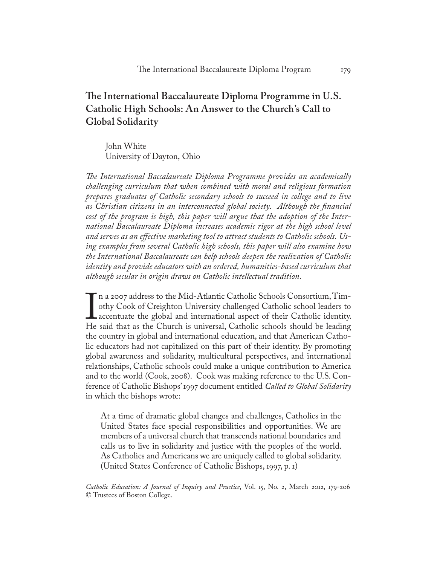### **The International Baccalaureate Diploma Programme in U.S. Catholic High Schools: An Answer to the Church's Call to Global Solidarity**

John White University of Dayton, Ohio

*The International Baccalaureate Diploma Programme provides an academically challenging curriculum that when combined with moral and religious formation prepares graduates of Catholic secondary schools to succeed in college and to live as Christian citizens in an interconnected global society. Although the financial cost of the program is high, this paper will argue that the adoption of the International Baccalaureate Diploma increases academic rigor at the high school level and serves as an effective marketing tool to attract students to Catholic schools. Using examples from several Catholic high schools, this paper will also examine how the International Baccalaureate can help schools deepen the realization of Catholic identity and provide educators with an ordered, humanities-based curriculum that although secular in origin draws on Catholic intellectual tradition.*

In a 2007 address to the FIH THAMHE Catholic Schools Consortium, I find othy Cook of Creighton University challenged Catholic school leaders to accentuate the global and international aspect of their Catholic identity.<br>He n a 2007 address to the Mid-Atlantic Catholic Schools Consortium, Timothy Cook of Creighton University challenged Catholic school leaders to accentuate the global and international aspect of their Catholic identity. the country in global and international education, and that American Catholic educators had not capitalized on this part of their identity. By promoting global awareness and solidarity, multicultural perspectives, and international relationships, Catholic schools could make a unique contribution to America and to the world (Cook, 2008). Cook was making reference to the U.S. Conference of Catholic Bishops' 1997 document entitled *Called to Global Solidarity* in which the bishops wrote:

At a time of dramatic global changes and challenges, Catholics in the United States face special responsibilities and opportunities. We are members of a universal church that transcends national boundaries and calls us to live in solidarity and justice with the peoples of the world. As Catholics and Americans we are uniquely called to global solidarity. (United States Conference of Catholic Bishops, 1997, p. 1)

*Catholic Education: A Journal of Inquiry and Practice*, Vol. 15, No. 2, March 2012, 179-206 © Trustees of Boston College.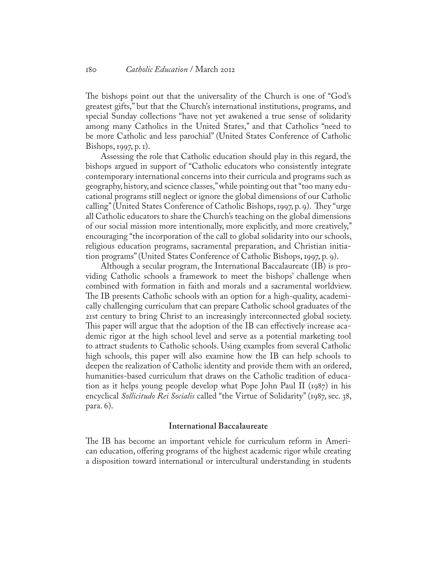The bishops point out that the universality of the Church is one of "God's greatest gifts," but that the Church's international institutions, programs, and special Sunday collections "have not yet awakened a true sense of solidarity among many Catholics in the United States," and that Catholics "need to be more Catholic and less parochial" (United States Conference of Catholic Bishops, 1997, p. 1).

Assessing the role that Catholic education should play in this regard, the bishops argued in support of "Catholic educators who consistently integrate contemporary international concerns into their curricula and programs such as geography, history, and science classes," while pointing out that "too many educational programs still neglect or ignore the global dimensions of our Catholic calling" (United States Conference of Catholic Bishops, 1997, p. 9). They "urge all Catholic educators to share the Church's teaching on the global dimensions of our social mission more intentionally, more explicitly, and more creatively," encouraging "the incorporation of the call to global solidarity into our schools, religious education programs, sacramental preparation, and Christian initiation programs" (United States Conference of Catholic Bishops, 1997, p. 9).

Although a secular program, the International Baccalaureate (IB) is providing Catholic schools a framework to meet the bishops' challenge when combined with formation in faith and morals and a sacramental worldview. The IB presents Catholic schools with an option for a high-quality, academically challenging curriculum that can prepare Catholic school graduates of the 21st century to bring Christ to an increasingly interconnected global society. This paper will argue that the adoption of the IB can effectively increase academic rigor at the high school level and serve as a potential marketing tool to attract students to Catholic schools. Using examples from several Catholic high schools, this paper will also examine how the IB can help schools to deepen the realization of Catholic identity and provide them with an ordered, humanities-based curriculum that draws on the Catholic tradition of education as it helps young people develop what Pope John Paul II (1987) in his encyclical *Sollicitudo Rei Socialis* called "the Virtue of Solidarity" (1987, sec. 38, para. 6).

#### **International Baccalaureate**

The IB has become an important vehicle for curriculum reform in American education, offering programs of the highest academic rigor while creating a disposition toward international or intercultural understanding in students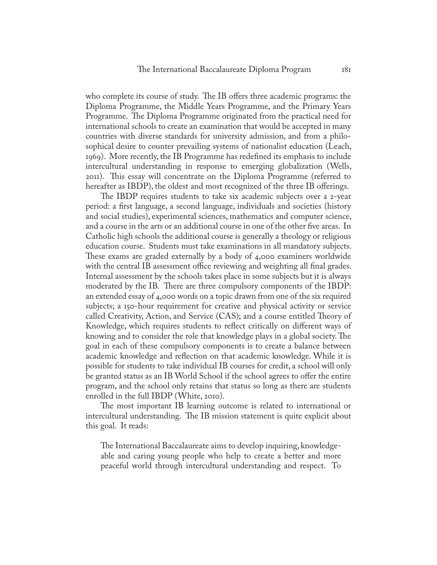who complete its course of study. The IB offers three academic programs: the Diploma Programme, the Middle Years Programme, and the Primary Years Programme. The Diploma Programme originated from the practical need for international schools to create an examination that would be accepted in many countries with diverse standards for university admission, and from a philosophical desire to counter prevailing systems of nationalist education (Leach, 1969). More recently, the IB Programme has redefined its emphasis to include intercultural understanding in response to emerging globalization (Wells, 2011). This essay will concentrate on the Diploma Programme (referred to hereafter as IBDP), the oldest and most recognized of the three IB offerings.

The IBDP requires students to take six academic subjects over a 2-year period: a first language, a second language, individuals and societies (history and social studies), experimental sciences, mathematics and computer science, and a course in the arts or an additional course in one of the other five areas. In Catholic high schools the additional course is generally a theology or religious education course. Students must take examinations in all mandatory subjects. These exams are graded externally by a body of 4,000 examiners worldwide with the central IB assessment office reviewing and weighting all final grades. Internal assessment by the schools takes place in some subjects but it is always moderated by the IB. There are three compulsory components of the IBDP: an extended essay of 4,000 words on a topic drawn from one of the six required subjects; a 150-hour requirement for creative and physical activity or service called Creativity, Action, and Service (CAS); and a course entitled Theory of Knowledge, which requires students to reflect critically on different ways of knowing and to consider the role that knowledge plays in a global society. The goal in each of these compulsory components is to create a balance between academic knowledge and reflection on that academic knowledge. While it is possible for students to take individual IB courses for credit, a school will only be granted status as an IB World School if the school agrees to offer the entire program, and the school only retains that status so long as there are students enrolled in the full IBDP (White, 2010).

The most important IB learning outcome is related to international or intercultural understanding. The IB mission statement is quite explicit about this goal. It reads:

The International Baccalaureate aims to develop inquiring, knowledgeable and caring young people who help to create a better and more peaceful world through intercultural understanding and respect. To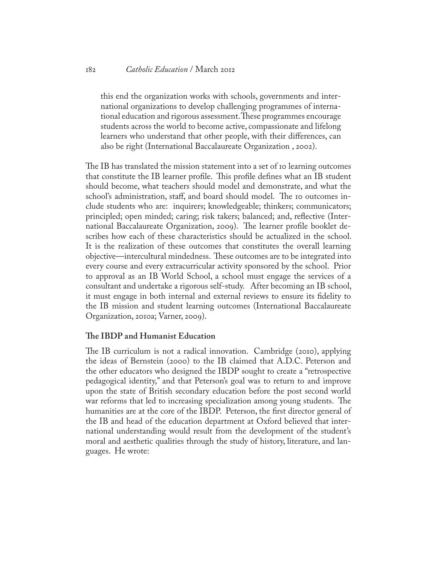#### 182 *Catholic Education* / March 2012

this end the organization works with schools, governments and international organizations to develop challenging programmes of international education and rigorous assessment. These programmes encourage students across the world to become active, compassionate and lifelong learners who understand that other people, with their differences, can also be right (International Baccalaureate Organization , 2002).

The IB has translated the mission statement into a set of 10 learning outcomes that constitute the IB learner profile. This profile defines what an IB student should become, what teachers should model and demonstrate, and what the school's administration, staff, and board should model. The 10 outcomes include students who are: inquirers; knowledgeable; thinkers; communicators; principled; open minded; caring; risk takers; balanced; and, reflective (International Baccalaureate Organization, 2009). The learner profile booklet describes how each of these characteristics should be actualized in the school. It is the realization of these outcomes that constitutes the overall learning objective—intercultural mindedness. These outcomes are to be integrated into every course and every extracurricular activity sponsored by the school. Prior to approval as an IB World School, a school must engage the services of a consultant and undertake a rigorous self-study. After becoming an IB school, it must engage in both internal and external reviews to ensure its fidelity to the IB mission and student learning outcomes (International Baccalaureate Organization, 2010a; Varner, 2009).

#### **The IBDP and Humanist Education**

The IB curriculum is not a radical innovation. Cambridge (2010), applying the ideas of Bernstein (2000) to the IB claimed that A.D.C. Peterson and the other educators who designed the IBDP sought to create a "retrospective pedagogical identity," and that Peterson's goal was to return to and improve upon the state of British secondary education before the post second world war reforms that led to increasing specialization among young students. The humanities are at the core of the IBDP. Peterson, the first director general of the IB and head of the education department at Oxford believed that international understanding would result from the development of the student's moral and aesthetic qualities through the study of history, literature, and languages. He wrote: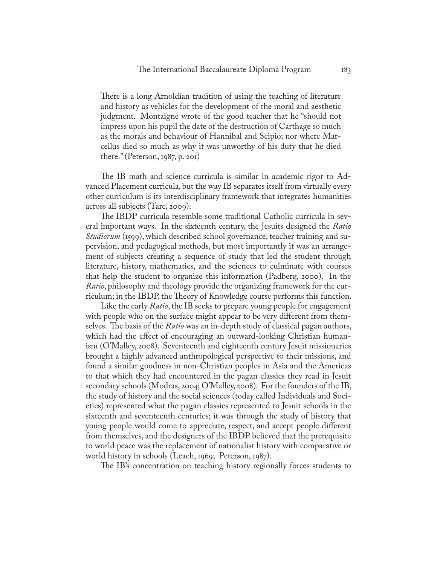There is a long Arnoldian tradition of using the teaching of literature and history as vehicles for the development of the moral and aesthetic judgment. Montaigne wrote of the good teacher that he "should not impress upon his pupil the date of the destruction of Carthage so much as the morals and behaviour of Hannibal and Scipio; nor where Marcellus died so much as why it was unworthy of his duty that he died there." (Peterson, 1987, p. 201)

The IB math and science curricula is similar in academic rigor to Advanced Placement curricula, but the way IB separates itself from virtually every other curriculum is its interdisciplinary framework that integrates humanities across all subjects (Tarc, 2009).

The IBDP curricula resemble some traditional Catholic curricula in several important ways. In the sixteenth century, the Jesuits designed the *Ratio Studiorum* (1599), which described school governance, teacher training and supervision, and pedagogical methods, but most importantly it was an arrangement of subjects creating a sequence of study that led the student through literature, history, mathematics, and the sciences to culminate with courses that help the student to organize this information (Padberg, 2000). In the *Ratio*, philosophy and theology provide the organizing framework for the curriculum; in the IBDP, the Theory of Knowledge course performs this function.

Like the early *Ratio*, the IB seeks to prepare young people for engagement with people who on the surface might appear to be very different from themselves. The basis of the *Ratio* was an in-depth study of classical pagan authors, which had the effect of encouraging an outward-looking Christian humanism (O'Malley, 2008). Seventeenth and eighteenth century Jesuit missionaries brought a highly advanced anthropological perspective to their missions, and found a similar goodness in non-Christian peoples in Asia and the Americas to that which they had encountered in the pagan classics they read in Jesuit secondary schools (Modras, 2004; O'Malley, 2008). For the founders of the IB, the study of history and the social sciences (today called Individuals and Societies) represented what the pagan classics represented to Jesuit schools in the sixteenth and seventeenth centuries; it was through the study of history that young people would come to appreciate, respect, and accept people different from themselves, and the designers of the IBDP believed that the prerequisite to world peace was the replacement of nationalist history with comparative or world history in schools (Leach, 1969; Peterson, 1987).

The IB's concentration on teaching history regionally forces students to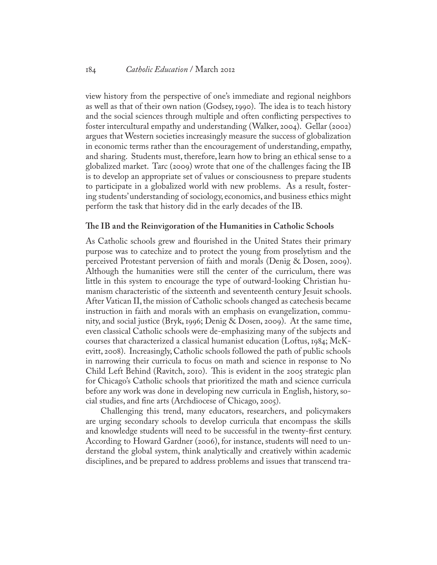view history from the perspective of one's immediate and regional neighbors as well as that of their own nation (Godsey, 1990). The idea is to teach history and the social sciences through multiple and often conflicting perspectives to foster intercultural empathy and understanding (Walker, 2004). Gellar (2002) argues that Western societies increasingly measure the success of globalization in economic terms rather than the encouragement of understanding, empathy, and sharing. Students must, therefore, learn how to bring an ethical sense to a globalized market. Tarc (2009) wrote that one of the challenges facing the IB is to develop an appropriate set of values or consciousness to prepare students to participate in a globalized world with new problems. As a result, fostering students' understanding of sociology, economics, and business ethics might perform the task that history did in the early decades of the IB.

#### **The IB and the Reinvigoration of the Humanities in Catholic Schools**

As Catholic schools grew and flourished in the United States their primary purpose was to catechize and to protect the young from proselytism and the perceived Protestant perversion of faith and morals (Denig & Dosen, 2009). Although the humanities were still the center of the curriculum, there was little in this system to encourage the type of outward-looking Christian humanism characteristic of the sixteenth and seventeenth century Jesuit schools. After Vatican II, the mission of Catholic schools changed as catechesis became instruction in faith and morals with an emphasis on evangelization, community, and social justice (Bryk, 1996; Denig & Dosen, 2009). At the same time, even classical Catholic schools were de-emphasizing many of the subjects and courses that characterized a classical humanist education (Loftus, 1984; McKevitt, 2008). Increasingly, Catholic schools followed the path of public schools in narrowing their curricula to focus on math and science in response to No Child Left Behind (Ravitch, 2010). This is evident in the 2005 strategic plan for Chicago's Catholic schools that prioritized the math and science curricula before any work was done in developing new curricula in English, history, social studies, and fine arts (Archdiocese of Chicago, 2005).

Challenging this trend, many educators, researchers, and policymakers are urging secondary schools to develop curricula that encompass the skills and knowledge students will need to be successful in the twenty-first century. According to Howard Gardner (2006), for instance, students will need to understand the global system, think analytically and creatively within academic disciplines, and be prepared to address problems and issues that transcend tra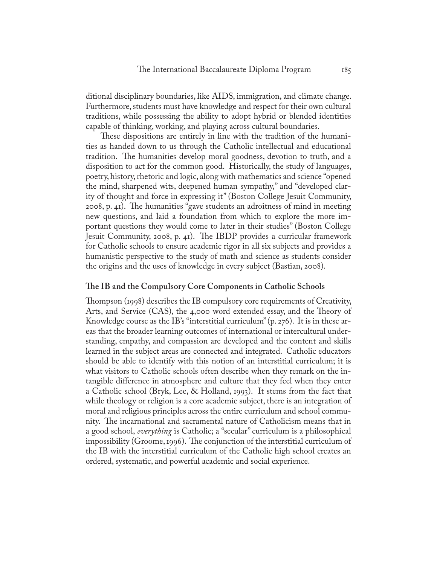ditional disciplinary boundaries, like AIDS, immigration, and climate change. Furthermore, students must have knowledge and respect for their own cultural traditions, while possessing the ability to adopt hybrid or blended identities capable of thinking, working, and playing across cultural boundaries.

These dispositions are entirely in line with the tradition of the humanities as handed down to us through the Catholic intellectual and educational tradition. The humanities develop moral goodness, devotion to truth, and a disposition to act for the common good. Historically, the study of languages, poetry, history, rhetoric and logic, along with mathematics and science "opened the mind, sharpened wits, deepened human sympathy," and "developed clarity of thought and force in expressing it" (Boston College Jesuit Community, 2008, p. 41). The humanities "gave students an adroitness of mind in meeting new questions, and laid a foundation from which to explore the more important questions they would come to later in their studies" (Boston College Jesuit Community, 2008, p. 41). The IBDP provides a curricular framework for Catholic schools to ensure academic rigor in all six subjects and provides a humanistic perspective to the study of math and science as students consider the origins and the uses of knowledge in every subject (Bastian, 2008).

#### **The IB and the Compulsory Core Components in Catholic Schools**

Thompson (1998) describes the IB compulsory core requirements of Creativity, Arts, and Service (CAS), the 4,000 word extended essay, and the Theory of Knowledge course as the IB's "interstitial curriculum" (p. 276). It is in these areas that the broader learning outcomes of international or intercultural understanding, empathy, and compassion are developed and the content and skills learned in the subject areas are connected and integrated. Catholic educators should be able to identify with this notion of an interstitial curriculum; it is what visitors to Catholic schools often describe when they remark on the intangible difference in atmosphere and culture that they feel when they enter a Catholic school (Bryk, Lee, & Holland, 1993). It stems from the fact that while theology or religion is a core academic subject, there is an integration of moral and religious principles across the entire curriculum and school community. The incarnational and sacramental nature of Catholicism means that in a good school, *everything* is Catholic; a "secular" curriculum is a philosophical impossibility (Groome, 1996). The conjunction of the interstitial curriculum of the IB with the interstitial curriculum of the Catholic high school creates an ordered, systematic, and powerful academic and social experience.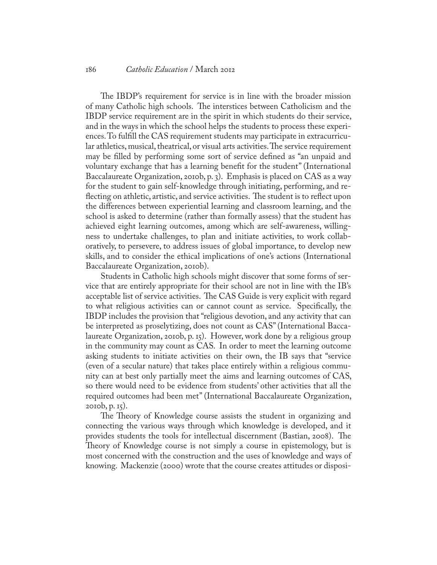#### 186 *Catholic Education* / March 2012

The IBDP's requirement for service is in line with the broader mission of many Catholic high schools. The interstices between Catholicism and the IBDP service requirement are in the spirit in which students do their service, and in the ways in which the school helps the students to process these experiences. To fulfill the CAS requirement students may participate in extracurricular athletics, musical, theatrical, or visual arts activities. The service requirement may be filled by performing some sort of service defined as "an unpaid and voluntary exchange that has a learning benefit for the student" (International Baccalaureate Organization, 2010b, p. 3). Emphasis is placed on CAS as a way for the student to gain self-knowledge through initiating, performing, and reflecting on athletic, artistic, and service activities. The student is to reflect upon the differences between experiential learning and classroom learning, and the school is asked to determine (rather than formally assess) that the student has achieved eight learning outcomes, among which are self-awareness, willingness to undertake challenges, to plan and initiate activities, to work collaboratively, to persevere, to address issues of global importance, to develop new skills, and to consider the ethical implications of one's actions (International Baccalaureate Organization, 2010b).

Students in Catholic high schools might discover that some forms of service that are entirely appropriate for their school are not in line with the IB's acceptable list of service activities. The CAS Guide is very explicit with regard to what religious activities can or cannot count as service. Specifically, the IBDP includes the provision that "religious devotion, and any activity that can be interpreted as proselytizing, does not count as CAS" (International Baccalaureate Organization, 2010b, p. 15). However, work done by a religious group in the community may count as CAS. In order to meet the learning outcome asking students to initiate activities on their own, the IB says that "service (even of a secular nature) that takes place entirely within a religious community can at best only partially meet the aims and learning outcomes of CAS, so there would need to be evidence from students' other activities that all the required outcomes had been met" (International Baccalaureate Organization, 2010b, p. 15).

The Theory of Knowledge course assists the student in organizing and connecting the various ways through which knowledge is developed, and it provides students the tools for intellectual discernment (Bastian, 2008). The Theory of Knowledge course is not simply a course in epistemology, but is most concerned with the construction and the uses of knowledge and ways of knowing. Mackenzie (2000) wrote that the course creates attitudes or disposi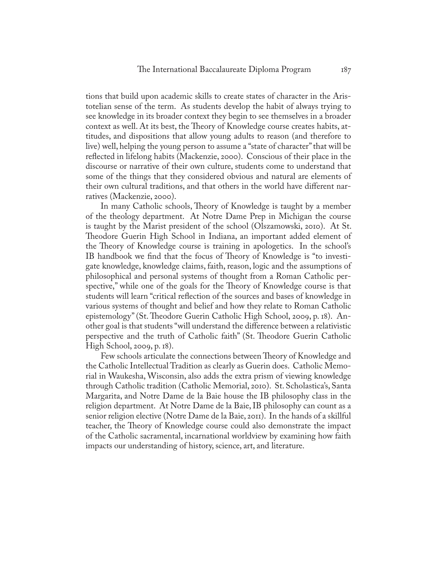tions that build upon academic skills to create states of character in the Aristotelian sense of the term. As students develop the habit of always trying to see knowledge in its broader context they begin to see themselves in a broader context as well. At its best, the Theory of Knowledge course creates habits, attitudes, and dispositions that allow young adults to reason (and therefore to live) well, helping the young person to assume a "state of character" that will be reflected in lifelong habits (Mackenzie, 2000). Conscious of their place in the discourse or narrative of their own culture, students come to understand that some of the things that they considered obvious and natural are elements of their own cultural traditions, and that others in the world have different narratives (Mackenzie, 2000).

In many Catholic schools, Theory of Knowledge is taught by a member of the theology department. At Notre Dame Prep in Michigan the course is taught by the Marist president of the school (Olszamowski, 2010). At St. Theodore Guerin High School in Indiana, an important added element of the Theory of Knowledge course is training in apologetics. In the school's IB handbook we find that the focus of Theory of Knowledge is "to investigate knowledge, knowledge claims, faith, reason, logic and the assumptions of philosophical and personal systems of thought from a Roman Catholic perspective," while one of the goals for the Theory of Knowledge course is that students will learn "critical reflection of the sources and bases of knowledge in various systems of thought and belief and how they relate to Roman Catholic epistemology" (St. Theodore Guerin Catholic High School, 2009, p. 18). Another goal is that students "will understand the difference between a relativistic perspective and the truth of Catholic faith" (St. Theodore Guerin Catholic High School, 2009, p. 18).

Few schools articulate the connections between Theory of Knowledge and the Catholic Intellectual Tradition as clearly as Guerin does. Catholic Memorial in Waukesha, Wisconsin, also adds the extra prism of viewing knowledge through Catholic tradition (Catholic Memorial, 2010). St. Scholastica's, Santa Margarita, and Notre Dame de la Baie house the IB philosophy class in the religion department. At Notre Dame de la Baie, IB philosophy can count as a senior religion elective (Notre Dame de la Baie, 2011). In the hands of a skillful teacher, the Theory of Knowledge course could also demonstrate the impact of the Catholic sacramental, incarnational worldview by examining how faith impacts our understanding of history, science, art, and literature.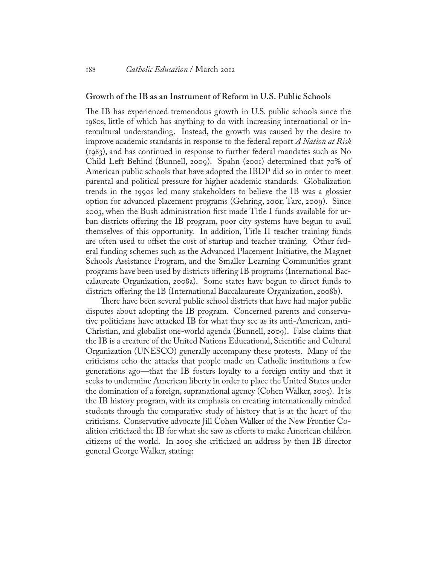#### **Growth of the IB as an Instrument of Reform in U.S. Public Schools**

The IB has experienced tremendous growth in U.S. public schools since the 1980s, little of which has anything to do with increasing international or intercultural understanding. Instead, the growth was caused by the desire to improve academic standards in response to the federal report *A Nation at Risk*  (1983), and has continued in response to further federal mandates such as No Child Left Behind (Bunnell, 2009). Spahn (2001) determined that 70% of American public schools that have adopted the IBDP did so in order to meet parental and political pressure for higher academic standards. Globalization trends in the 1990s led many stakeholders to believe the IB was a glossier option for advanced placement programs (Gehring, 2001; Tarc, 2009). Since 2003, when the Bush administration first made Title I funds available for urban districts offering the IB program, poor city systems have begun to avail themselves of this opportunity. In addition, Title II teacher training funds are often used to offset the cost of startup and teacher training. Other federal funding schemes such as the Advanced Placement Initiative, the Magnet Schools Assistance Program, and the Smaller Learning Communities grant programs have been used by districts offering IB programs (International Baccalaureate Organization, 2008a). Some states have begun to direct funds to districts offering the IB (International Baccalaureate Organization, 2008b).

There have been several public school districts that have had major public disputes about adopting the IB program. Concerned parents and conservative politicians have attacked IB for what they see as its anti-American, anti-Christian, and globalist one-world agenda (Bunnell, 2009). False claims that the IB is a creature of the United Nations Educational, Scientific and Cultural Organization (UNESCO) generally accompany these protests. Many of the criticisms echo the attacks that people made on Catholic institutions a few generations ago—that the IB fosters loyalty to a foreign entity and that it seeks to undermine American liberty in order to place the United States under the domination of a foreign, supranational agency (Cohen Walker, 2005). It is the IB history program, with its emphasis on creating internationally minded students through the comparative study of history that is at the heart of the criticisms. Conservative advocate Jill Cohen Walker of the New Frontier Coalition criticized the IB for what she saw as efforts to make American children citizens of the world. In 2005 she criticized an address by then IB director general George Walker, stating: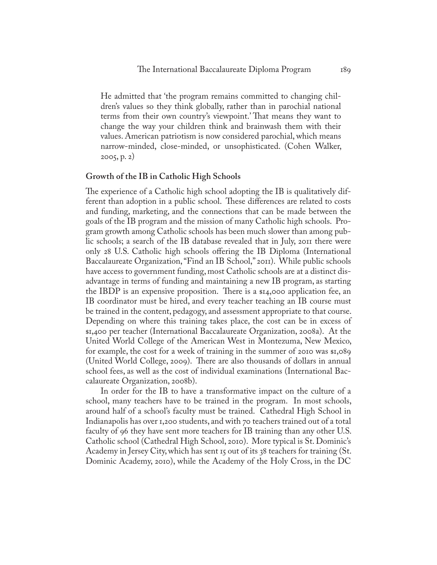He admitted that 'the program remains committed to changing children's values so they think globally, rather than in parochial national terms from their own country's viewpoint.' That means they want to change the way your children think and brainwash them with their values. American patriotism is now considered parochial, which means narrow-minded, close-minded, or unsophisticated. (Cohen Walker, 2005, p. 2)

#### **Growth of the IB in Catholic High Schools**

The experience of a Catholic high school adopting the IB is qualitatively different than adoption in a public school. These differences are related to costs and funding, marketing, and the connections that can be made between the goals of the IB program and the mission of many Catholic high schools. Program growth among Catholic schools has been much slower than among public schools; a search of the IB database revealed that in July, 2011 there were only 28 U.S. Catholic high schools offering the IB Diploma (International Baccalaureate Organization, "Find an IB School," 2011). While public schools have access to government funding, most Catholic schools are at a distinct disadvantage in terms of funding and maintaining a new IB program, as starting the IBDP is an expensive proposition. There is a  $\mathfrak{su}_4$ ,000 application fee, an IB coordinator must be hired, and every teacher teaching an IB course must be trained in the content, pedagogy, and assessment appropriate to that course. Depending on where this training takes place, the cost can be in excess of \$1,400 per teacher (International Baccalaureate Organization, 2008a). At the United World College of the American West in Montezuma, New Mexico, for example, the cost for a week of training in the summer of 2010 was \$1,089 (United World College, 2009). There are also thousands of dollars in annual school fees, as well as the cost of individual examinations (International Baccalaureate Organization, 2008b).

In order for the IB to have a transformative impact on the culture of a school, many teachers have to be trained in the program. In most schools, around half of a school's faculty must be trained. Cathedral High School in Indianapolis has over 1,200 students, and with 70 teachers trained out of a total faculty of 96 they have sent more teachers for IB training than any other U.S. Catholic school (Cathedral High School, 2010). More typical is St. Dominic's Academy in Jersey City, which has sent 15 out of its 38 teachers for training (St. Dominic Academy, 2010), while the Academy of the Holy Cross, in the DC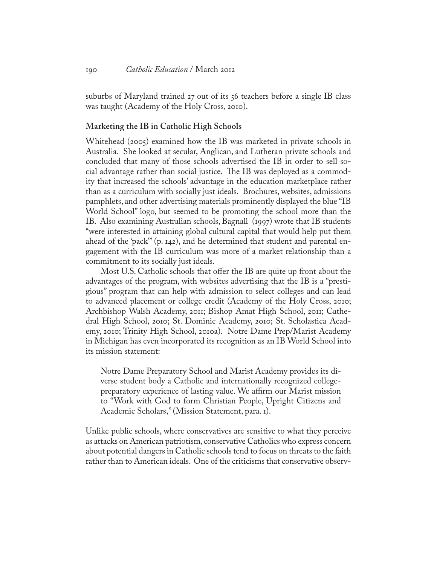suburbs of Maryland trained 27 out of its 56 teachers before a single IB class was taught (Academy of the Holy Cross, 2010).

#### **Marketing the IB in Catholic High Schools**

Whitehead (2005) examined how the IB was marketed in private schools in Australia. She looked at secular, Anglican, and Lutheran private schools and concluded that many of those schools advertised the IB in order to sell social advantage rather than social justice. The IB was deployed as a commodity that increased the schools' advantage in the education marketplace rather than as a curriculum with socially just ideals. Brochures, websites, admissions pamphlets, and other advertising materials prominently displayed the blue "IB World School" logo, but seemed to be promoting the school more than the IB. Also examining Australian schools, Bagnall (1997) wrote that IB students "were interested in attaining global cultural capital that would help put them ahead of the 'pack'" (p. 142), and he determined that student and parental engagement with the IB curriculum was more of a market relationship than a commitment to its socially just ideals.

Most U.S. Catholic schools that offer the IB are quite up front about the advantages of the program, with websites advertising that the IB is a "prestigious" program that can help with admission to select colleges and can lead to advanced placement or college credit (Academy of the Holy Cross, 2010; Archbishop Walsh Academy, 2011; Bishop Amat High School, 2011; Cathedral High School, 2010; St. Dominic Academy, 2010; St. Scholastica Academy, 2010; Trinity High School, 2010a). Notre Dame Prep/Marist Academy in Michigan has even incorporated its recognition as an IB World School into its mission statement:

Notre Dame Preparatory School and Marist Academy provides its diverse student body a Catholic and internationally recognized collegepreparatory experience of lasting value. We affirm our Marist mission to "Work with God to form Christian People, Upright Citizens and Academic Scholars," (Mission Statement, para. 1).

Unlike public schools, where conservatives are sensitive to what they perceive as attacks on American patriotism, conservative Catholics who express concern about potential dangers in Catholic schools tend to focus on threats to the faith rather than to American ideals. One of the criticisms that conservative observ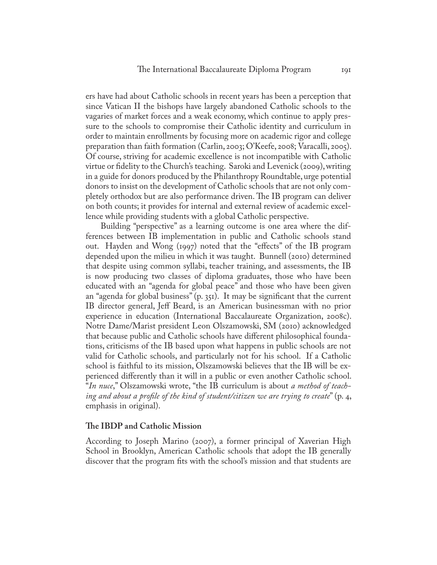ers have had about Catholic schools in recent years has been a perception that since Vatican II the bishops have largely abandoned Catholic schools to the vagaries of market forces and a weak economy, which continue to apply pressure to the schools to compromise their Catholic identity and curriculum in order to maintain enrollments by focusing more on academic rigor and college preparation than faith formation (Carlin, 2003; O'Keefe, 2008; Varacalli, 2005). Of course, striving for academic excellence is not incompatible with Catholic virtue or fidelity to the Church's teaching. Saroki and Levenick (2009), writing in a guide for donors produced by the Philanthropy Roundtable, urge potential donors to insist on the development of Catholic schools that are not only completely orthodox but are also performance driven. The IB program can deliver on both counts; it provides for internal and external review of academic excellence while providing students with a global Catholic perspective.

Building "perspective" as a learning outcome is one area where the differences between IB implementation in public and Catholic schools stand out. Hayden and Wong (1997) noted that the "effects" of the IB program depended upon the milieu in which it was taught. Bunnell (2010) determined that despite using common syllabi, teacher training, and assessments, the IB is now producing two classes of diploma graduates, those who have been educated with an "agenda for global peace" and those who have been given an "agenda for global business" (p. 351). It may be significant that the current IB director general, Jeff Beard, is an American businessman with no prior experience in education (International Baccalaureate Organization, 2008c). Notre Dame/Marist president Leon Olszamowski, SM (2010) acknowledged that because public and Catholic schools have different philosophical foundations, criticisms of the IB based upon what happens in public schools are not valid for Catholic schools, and particularly not for his school. If a Catholic school is faithful to its mission, Olszamowski believes that the IB will be experienced differently than it will in a public or even another Catholic school. "*In nuce*," Olszamowski wrote, "the IB curriculum is about *a method of teaching and about a profile of the kind of student/citizen we are trying to create*" (p. 4, emphasis in original).

#### **The IBDP and Catholic Mission**

According to Joseph Marino (2007), a former principal of Xaverian High School in Brooklyn, American Catholic schools that adopt the IB generally discover that the program fits with the school's mission and that students are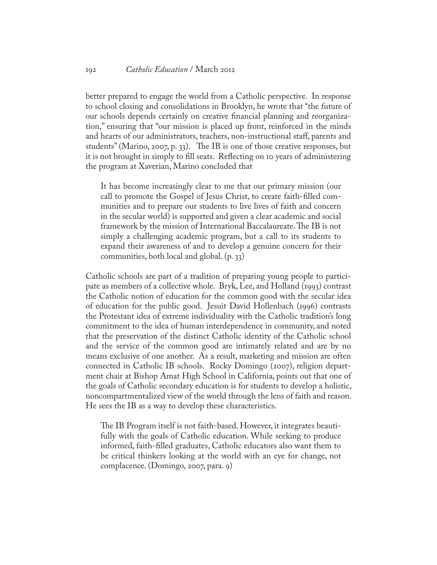#### 192 *Catholic Education* / March 2012

better prepared to engage the world from a Catholic perspective. In response to school closing and consolidations in Brooklyn, he wrote that "the future of our schools depends certainly on creative financial planning and reorganization," ensuring that "our mission is placed up front, reinforced in the minds and hearts of our administrators, teachers, non-instructional staff, parents and students" (Marino, 2007, p. 33). The IB is one of those creative responses, but it is not brought in simply to fill seats. Reflecting on 10 years of administering the program at Xaverian, Marino concluded that

It has become increasingly clear to me that our primary mission (our call to promote the Gospel of Jesus Christ, to create faith-filled communities and to prepare our students to live lives of faith and concern in the secular world) is supported and given a clear academic and social framework by the mission of International Baccalaureate. The IB is not simply a challenging academic program, but a call to its students to expand their awareness of and to develop a genuine concern for their communities, both local and global. (p. 33)

Catholic schools are part of a tradition of preparing young people to participate as members of a collective whole. Bryk, Lee, and Holland (1993) contrast the Catholic notion of education for the common good with the secular idea of education for the public good. Jesuit David Hollenbach (1996) contrasts the Protestant idea of extreme individuality with the Catholic tradition's long commitment to the idea of human interdependence in community, and noted that the preservation of the distinct Catholic identity of the Catholic school and the service of the common good are intimately related and are by no means exclusive of one another. As a result, marketing and mission are often connected in Catholic IB schools. Rocky Domingo (2007), religion department chair at Bishop Amat High School in California, points out that one of the goals of Catholic secondary education is for students to develop a holistic, noncompartmentalized view of the world through the lens of faith and reason. He sees the IB as a way to develop these characteristics.

The IB Program itself is not faith-based. However, it integrates beautifully with the goals of Catholic education. While seeking to produce informed, faith-filled graduates, Catholic educators also want them to be critical thinkers looking at the world with an eye for change, not complacence. (Domingo, 2007, para. 9)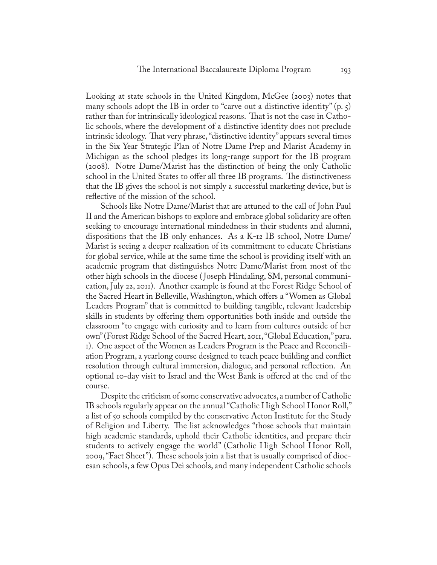Looking at state schools in the United Kingdom, McGee (2003) notes that many schools adopt the IB in order to "carve out a distinctive identity"  $(p, \zeta)$ rather than for intrinsically ideological reasons. That is not the case in Catholic schools, where the development of a distinctive identity does not preclude intrinsic ideology. That very phrase, "distinctive identity" appears several times in the Six Year Strategic Plan of Notre Dame Prep and Marist Academy in Michigan as the school pledges its long-range support for the IB program (2008). Notre Dame/Marist has the distinction of being the only Catholic school in the United States to offer all three IB programs. The distinctiveness that the IB gives the school is not simply a successful marketing device, but is reflective of the mission of the school.

Schools like Notre Dame/Marist that are attuned to the call of John Paul II and the American bishops to explore and embrace global solidarity are often seeking to encourage international mindedness in their students and alumni, dispositions that the IB only enhances. As a K-12 IB school, Notre Dame/ Marist is seeing a deeper realization of its commitment to educate Christians for global service, while at the same time the school is providing itself with an academic program that distinguishes Notre Dame/Marist from most of the other high schools in the diocese ( Joseph Hindaling, SM, personal communication, July 22, 2011). Another example is found at the Forest Ridge School of the Sacred Heart in Belleville, Washington, which offers a "Women as Global Leaders Program" that is committed to building tangible, relevant leadership skills in students by offering them opportunities both inside and outside the classroom "to engage with curiosity and to learn from cultures outside of her own" (Forest Ridge School of the Sacred Heart, 2011, "Global Education," para. 1). One aspect of the Women as Leaders Program is the Peace and Reconciliation Program, a yearlong course designed to teach peace building and conflict resolution through cultural immersion, dialogue, and personal reflection. An optional 10-day visit to Israel and the West Bank is offered at the end of the course.

Despite the criticism of some conservative advocates, a number of Catholic IB schools regularly appear on the annual "Catholic High School Honor Roll," a list of 50 schools compiled by the conservative Acton Institute for the Study of Religion and Liberty. The list acknowledges "those schools that maintain high academic standards, uphold their Catholic identities, and prepare their students to actively engage the world" (Catholic High School Honor Roll, 2009, "Fact Sheet"). These schools join a list that is usually comprised of diocesan schools, a few Opus Dei schools, and many independent Catholic schools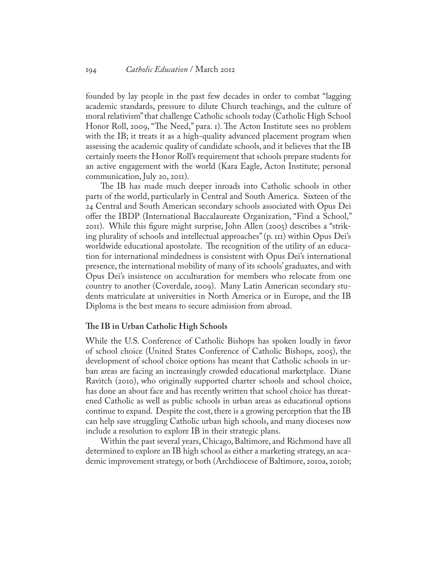founded by lay people in the past few decades in order to combat "lagging academic standards, pressure to dilute Church teachings, and the culture of moral relativism" that challenge Catholic schools today (Catholic High School Honor Roll, 2009, "The Need," para. 1). The Acton Institute sees no problem with the IB; it treats it as a high-quality advanced placement program when assessing the academic quality of candidate schools, and it believes that the IB certainly meets the Honor Roll's requirement that schools prepare students for an active engagement with the world (Kara Eagle, Acton Institute; personal communication, July 20, 2011).

The IB has made much deeper inroads into Catholic schools in other parts of the world, particularly in Central and South America. Sixteen of the 24 Central and South American secondary schools associated with Opus Dei offer the IBDP (International Baccalaureate Organization, "Find a School," 2011). While this figure might surprise, John Allen (2005) describes a "striking plurality of schools and intellectual approaches" (p. 111) within Opus Dei's worldwide educational apostolate. The recognition of the utility of an education for international mindedness is consistent with Opus Dei's international presence, the international mobility of many of its schools' graduates, and with Opus Dei's insistence on acculturation for members who relocate from one country to another (Coverdale, 2009). Many Latin American secondary students matriculate at universities in North America or in Europe, and the IB Diploma is the best means to secure admission from abroad.

#### **The IB in Urban Catholic High Schools**

While the U.S. Conference of Catholic Bishops has spoken loudly in favor of school choice (United States Conference of Catholic Bishops, 2005), the development of school choice options has meant that Catholic schools in urban areas are facing an increasingly crowded educational marketplace. Diane Ravitch (2010), who originally supported charter schools and school choice, has done an about face and has recently written that school choice has threatened Catholic as well as public schools in urban areas as educational options continue to expand. Despite the cost, there is a growing perception that the IB can help save struggling Catholic urban high schools, and many dioceses now include a resolution to explore IB in their strategic plans.

Within the past several years, Chicago, Baltimore, and Richmond have all determined to explore an IB high school as either a marketing strategy, an academic improvement strategy, or both (Archdiocese of Baltimore, 2010a, 2010b;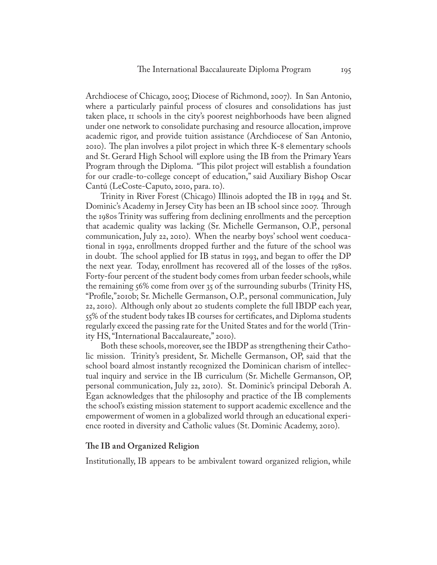Archdiocese of Chicago, 2005; Diocese of Richmond, 2007). In San Antonio, where a particularly painful process of closures and consolidations has just taken place, 11 schools in the city's poorest neighborhoods have been aligned under one network to consolidate purchasing and resource allocation, improve academic rigor, and provide tuition assistance (Archdiocese of San Antonio, 2010). The plan involves a pilot project in which three K-8 elementary schools and St. Gerard High School will explore using the IB from the Primary Years Program through the Diploma. "This pilot project will establish a foundation for our cradle-to-college concept of education," said Auxiliary Bishop Oscar Cantú (LeCoste-Caputo, 2010, para. 10).

Trinity in River Forest (Chicago) Illinois adopted the IB in 1994 and St. Dominic's Academy in Jersey City has been an IB school since 2007. Through the 1980s Trinity was suffering from declining enrollments and the perception that academic quality was lacking (Sr. Michelle Germanson, O.P., personal communication, July 22, 2010). When the nearby boys' school went coeducational in 1992, enrollments dropped further and the future of the school was in doubt. The school applied for IB status in 1993, and began to offer the DP the next year. Today, enrollment has recovered all of the losses of the 1980s. Forty-four percent of the student body comes from urban feeder schools, while the remaining 56% come from over 35 of the surrounding suburbs (Trinity HS, "Profile,"2010b; Sr. Michelle Germanson, O.P., personal communication, July 22, 2010). Although only about 20 students complete the full IBDP each year, 55% of the student body takes IB courses for certificates, and Diploma students regularly exceed the passing rate for the United States and for the world (Trinity HS, "International Baccalaureate," 2010).

Both these schools, moreover, see the IBDP as strengthening their Catholic mission. Trinity's president, Sr. Michelle Germanson, OP, said that the school board almost instantly recognized the Dominican charism of intellectual inquiry and service in the IB curriculum (Sr. Michelle Germanson, OP, personal communication, July 22, 2010). St. Dominic's principal Deborah A. Egan acknowledges that the philosophy and practice of the IB complements the school's existing mission statement to support academic excellence and the empowerment of women in a globalized world through an educational experience rooted in diversity and Catholic values (St. Dominic Academy, 2010).

#### **The IB and Organized Religion**

Institutionally, IB appears to be ambivalent toward organized religion, while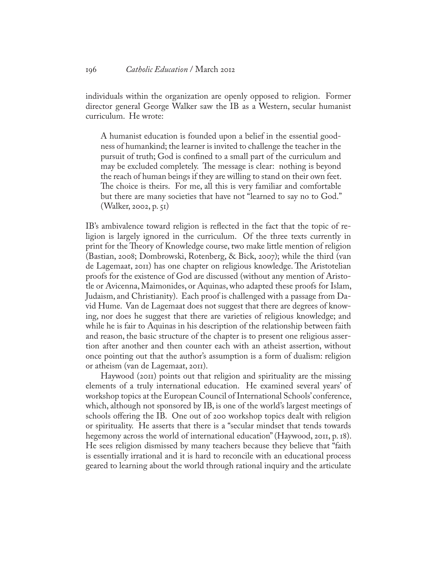individuals within the organization are openly opposed to religion. Former director general George Walker saw the IB as a Western, secular humanist curriculum. He wrote:

A humanist education is founded upon a belief in the essential goodness of humankind; the learner is invited to challenge the teacher in the pursuit of truth; God is confined to a small part of the curriculum and may be excluded completely. The message is clear: nothing is beyond the reach of human beings if they are willing to stand on their own feet. The choice is theirs. For me, all this is very familiar and comfortable but there are many societies that have not "learned to say no to God." (Walker, 2002, p. 51)

IB's ambivalence toward religion is reflected in the fact that the topic of religion is largely ignored in the curriculum. Of the three texts currently in print for the Theory of Knowledge course, two make little mention of religion (Bastian, 2008; Dombrowski, Rotenberg, & Bick, 2007); while the third (van de Lagemaat, 2011) has one chapter on religious knowledge. The Aristotelian proofs for the existence of God are discussed (without any mention of Aristotle or Avicenna, Maimonides, or Aquinas, who adapted these proofs for Islam, Judaism, and Christianity). Each proof is challenged with a passage from David Hume. Van de Lagemaat does not suggest that there are degrees of knowing, nor does he suggest that there are varieties of religious knowledge; and while he is fair to Aquinas in his description of the relationship between faith and reason, the basic structure of the chapter is to present one religious assertion after another and then counter each with an atheist assertion, without once pointing out that the author's assumption is a form of dualism: religion or atheism (van de Lagemaat, 2011).

Haywood (2011) points out that religion and spirituality are the missing elements of a truly international education. He examined several years' of workshop topics at the European Council of International Schools' conference, which, although not sponsored by IB, is one of the world's largest meetings of schools offering the IB. One out of 200 workshop topics dealt with religion or spirituality. He asserts that there is a "secular mindset that tends towards hegemony across the world of international education" (Haywood, 2011, p. 18). He sees religion dismissed by many teachers because they believe that "faith is essentially irrational and it is hard to reconcile with an educational process geared to learning about the world through rational inquiry and the articulate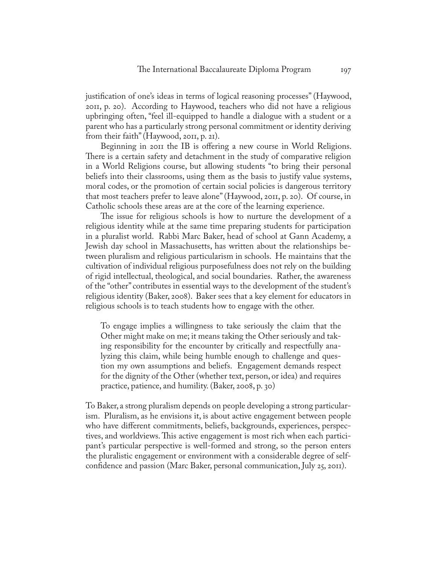justification of one's ideas in terms of logical reasoning processes" (Haywood, 2011, p. 20). According to Haywood, teachers who did not have a religious upbringing often, "feel ill-equipped to handle a dialogue with a student or a parent who has a particularly strong personal commitment or identity deriving from their faith" (Haywood, 2011, p. 21).

Beginning in 2011 the IB is offering a new course in World Religions. There is a certain safety and detachment in the study of comparative religion in a World Religions course, but allowing students "to bring their personal beliefs into their classrooms, using them as the basis to justify value systems, moral codes, or the promotion of certain social policies is dangerous territory that most teachers prefer to leave alone" (Haywood, 2011, p. 20). Of course, in Catholic schools these areas are at the core of the learning experience.

The issue for religious schools is how to nurture the development of a religious identity while at the same time preparing students for participation in a pluralist world. Rabbi Marc Baker, head of school at Gann Academy, a Jewish day school in Massachusetts, has written about the relationships between pluralism and religious particularism in schools. He maintains that the cultivation of individual religious purposefulness does not rely on the building of rigid intellectual, theological, and social boundaries. Rather, the awareness of the "other" contributes in essential ways to the development of the student's religious identity (Baker, 2008). Baker sees that a key element for educators in religious schools is to teach students how to engage with the other.

To engage implies a willingness to take seriously the claim that the Other might make on me; it means taking the Other seriously and taking responsibility for the encounter by critically and respectfully analyzing this claim, while being humble enough to challenge and question my own assumptions and beliefs. Engagement demands respect for the dignity of the Other (whether text, person, or idea) and requires practice, patience, and humility. (Baker, 2008, p. 30)

To Baker, a strong pluralism depends on people developing a strong particularism. Pluralism, as he envisions it, is about active engagement between people who have different commitments, beliefs, backgrounds, experiences, perspectives, and worldviews. This active engagement is most rich when each participant's particular perspective is well-formed and strong, so the person enters the pluralistic engagement or environment with a considerable degree of selfconfidence and passion (Marc Baker, personal communication, July 25, 2011).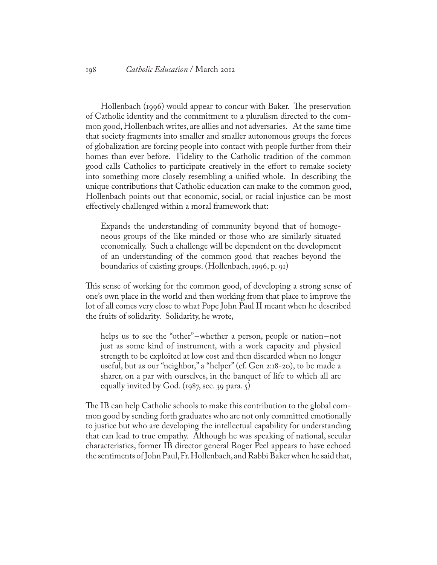Hollenbach (1996) would appear to concur with Baker. The preservation of Catholic identity and the commitment to a pluralism directed to the common good, Hollenbach writes, are allies and not adversaries. At the same time that society fragments into smaller and smaller autonomous groups the forces of globalization are forcing people into contact with people further from their homes than ever before. Fidelity to the Catholic tradition of the common good calls Catholics to participate creatively in the effort to remake society into something more closely resembling a unified whole. In describing the unique contributions that Catholic education can make to the common good, Hollenbach points out that economic, social, or racial injustice can be most effectively challenged within a moral framework that:

Expands the understanding of community beyond that of homogeneous groups of the like minded or those who are similarly situated economically. Such a challenge will be dependent on the development of an understanding of the common good that reaches beyond the boundaries of existing groups. (Hollenbach, 1996, p. 91)

This sense of working for the common good, of developing a strong sense of one's own place in the world and then working from that place to improve the lot of all comes very close to what Pope John Paul II meant when he described the fruits of solidarity. Solidarity, he wrote,

helps us to see the "other"-whether a person, people or nation-not just as some kind of instrument, with a work capacity and physical strength to be exploited at low cost and then discarded when no longer useful, but as our "neighbor," a "helper" (cf. Gen 2:18-20), to be made a sharer, on a par with ourselves, in the banquet of life to which all are equally invited by God. (1987, sec. 39 para.  $\zeta$ )

The IB can help Catholic schools to make this contribution to the global common good by sending forth graduates who are not only committed emotionally to justice but who are developing the intellectual capability for understanding that can lead to true empathy. Although he was speaking of national, secular characteristics, former IB director general Roger Peel appears to have echoed the sentiments of John Paul, Fr. Hollenbach, and Rabbi Baker when he said that,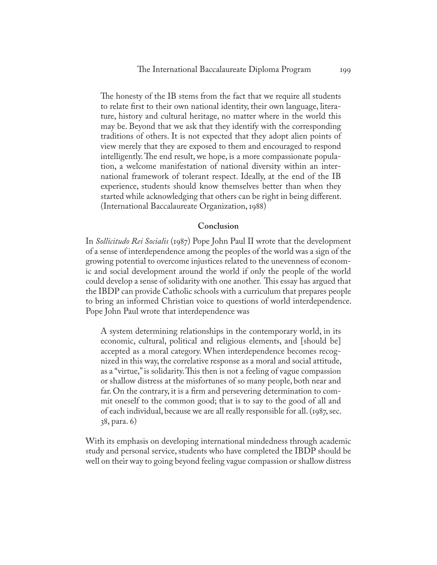The honesty of the IB stems from the fact that we require all students to relate first to their own national identity, their own language, literature, history and cultural heritage, no matter where in the world this may be. Beyond that we ask that they identify with the corresponding traditions of others. It is not expected that they adopt alien points of view merely that they are exposed to them and encouraged to respond intelligently. The end result, we hope, is a more compassionate population, a welcome manifestation of national diversity within an international framework of tolerant respect. Ideally, at the end of the IB experience, students should know themselves better than when they started while acknowledging that others can be right in being different. (International Baccalaureate Organization, 1988)

#### **Conclusion**

In *Sollicitudo Rei Socialis* (1987) Pope John Paul II wrote that the development of a sense of interdependence among the peoples of the world was a sign of the growing potential to overcome injustices related to the unevenness of economic and social development around the world if only the people of the world could develop a sense of solidarity with one another. This essay has argued that the IBDP can provide Catholic schools with a curriculum that prepares people to bring an informed Christian voice to questions of world interdependence. Pope John Paul wrote that interdependence was

A system determining relationships in the contemporary world, in its economic, cultural, political and religious elements, and [should be] accepted as a moral category. When interdependence becomes recognized in this way, the correlative response as a moral and social attitude, as a "virtue," is solidarity. This then is not a feeling of vague compassion or shallow distress at the misfortunes of so many people, both near and far. On the contrary, it is a firm and persevering determination to commit oneself to the common good; that is to say to the good of all and of each individual, because we are all really responsible for all. (1987, sec. 38, para. 6)

With its emphasis on developing international mindedness through academic study and personal service, students who have completed the IBDP should be well on their way to going beyond feeling vague compassion or shallow distress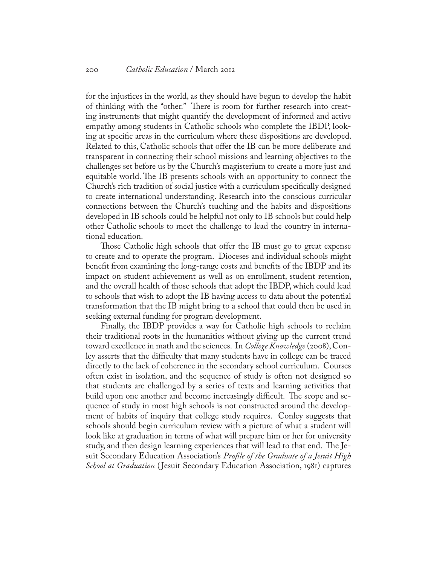for the injustices in the world, as they should have begun to develop the habit of thinking with the "other." There is room for further research into creating instruments that might quantify the development of informed and active empathy among students in Catholic schools who complete the IBDP, looking at specific areas in the curriculum where these dispositions are developed. Related to this, Catholic schools that offer the IB can be more deliberate and transparent in connecting their school missions and learning objectives to the challenges set before us by the Church's magisterium to create a more just and equitable world. The IB presents schools with an opportunity to connect the Church's rich tradition of social justice with a curriculum specifically designed to create international understanding. Research into the conscious curricular connections between the Church's teaching and the habits and dispositions developed in IB schools could be helpful not only to IB schools but could help other Catholic schools to meet the challenge to lead the country in international education.

Those Catholic high schools that offer the IB must go to great expense to create and to operate the program. Dioceses and individual schools might benefit from examining the long-range costs and benefits of the IBDP and its impact on student achievement as well as on enrollment, student retention, and the overall health of those schools that adopt the IBDP, which could lead to schools that wish to adopt the IB having access to data about the potential transformation that the IB might bring to a school that could then be used in seeking external funding for program development.

Finally, the IBDP provides a way for Catholic high schools to reclaim their traditional roots in the humanities without giving up the current trend toward excellence in math and the sciences. In *College Knowledge* (2008), Conley asserts that the difficulty that many students have in college can be traced directly to the lack of coherence in the secondary school curriculum. Courses often exist in isolation, and the sequence of study is often not designed so that students are challenged by a series of texts and learning activities that build upon one another and become increasingly difficult. The scope and sequence of study in most high schools is not constructed around the development of habits of inquiry that college study requires. Conley suggests that schools should begin curriculum review with a picture of what a student will look like at graduation in terms of what will prepare him or her for university study, and then design learning experiences that will lead to that end. The Jesuit Secondary Education Association's *Profile of the Graduate of a Jesuit High School at Graduation* ( Jesuit Secondary Education Association, 1981) captures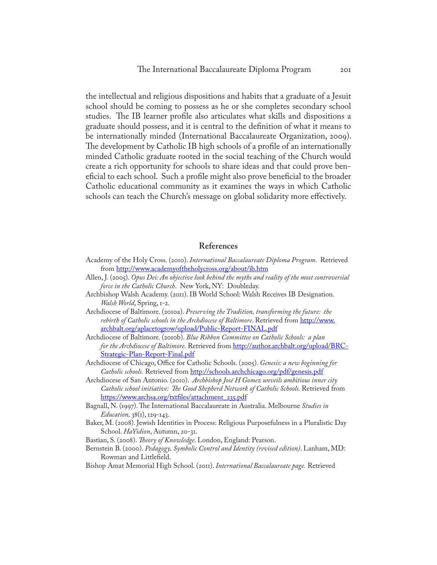the intellectual and religious dispositions and habits that a graduate of a Jesuit school should be coming to possess as he or she completes secondary school studies. The IB learner profile also articulates what skills and dispositions a graduate should possess, and it is central to the definition of what it means to be internationally minded (International Baccalaureate Organization, 2009). The development by Catholic IB high schools of a profile of an internationally minded Catholic graduate rooted in the social teaching of the Church would create a rich opportunity for schools to share ideas and that could prove beneficial to each school. Such a profile might also prove beneficial to the broader Catholic educational community as it examines the ways in which Catholic schools can teach the Church's message on global solidarity more effectively.

#### **References**

- Academy of the Holy Cross. (2010). *International Baccalaureate Diploma Program*. Retrieved from <http://www.academyoftheholycross.org/about/ib.htm>
- Allen, J. (2005). *Opus Dei: An objective look behind the myths and reality of the most controversial force in the Catholic Church*. New York, NY: Doubleday.
- Archbishop Walsh Academy. (2011). IB World School: Walsh Receives IB Designation. *Walsh World*, Spring, 1-2.
- Archdiocese of Baltimore. (2010a). *Preserving the Tradition, transforming the future: the rebirth of Catholic schools in the Archdiocese of Baltimore*. Retrieved from [http://www.](http://www.archbalt.org/aplacetogrow/upload/Public-Report-FINAL.pdf) [archbalt.org/aplacetogrow/upload/Public-Report-FINAL.pdf](http://www.archbalt.org/aplacetogrow/upload/Public-Report-FINAL.pdf)
- Archdiocese of Baltimore. (2010b). *Blue Ribbon Committee on Catholic Schools: a plan for the Archdiocese of Baltimore.* Retrieved from [http://author.archbalt.org/upload/BRC-](http://author.archbalt.org/upload/BRC-Strategic-Plan-Report-Final.pdf)[Strategic-Plan-Report-Final.pdf](http://author.archbalt.org/upload/BRC-Strategic-Plan-Report-Final.pdf)
- Archdiocese of Chicago, Office for Catholic Schools. (2005). *Genesis: a new beginning for Catholic schools.* Retrieved from <http://schools.archchicago.org/pdf/genesis.pdf>
- Archdiocese of San Antonio. (2010). *Archbishop José H Gomez unveils ambitious inner city Catholic school initiative: The Good Shepherd Network of Catholic Schools.* Retrieved from [https://www.archsa.org/txtfiles/attachment\\_235.pdf](https://www.archsa.org/txtfiles/attachment_235.pdf)
- Bagnall, N. (1997). The International Baccalaureate in Australia. Melbourne *Studies in Education,* 38(1), 129-143.
- Baker, M. (2008). Jewish Identities in Process: Religious Purposefulness in a Pluralistic Day School. *HaYidion*, Autumn, 20-31.
- Bastian, S. (2008). *Theory of Knowledge*. London, England: Pearson.
- Bernstein B. (2000). *Pedagogy, Symbolic Control and Identity (revised edition)*. Lanham, MD: Rowman and Littlefield.
- Bishop Amat Memorial High School. (2011). *International Baccalaureate page.* Retrieved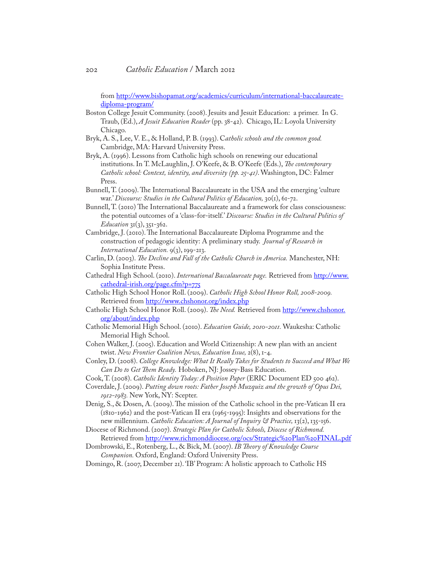from [http://www.bishopamat.org/academics/curriculum/international-baccalaureate](http://www.bishopamat.org/academics/curriculum/international-baccalaureate-diploma-program/)[diploma-program/](http://www.bishopamat.org/academics/curriculum/international-baccalaureate-diploma-program/)

- Boston College Jesuit Community. (2008). Jesuits and Jesuit Education: a primer. In G. Traub, (Ed.), *A Jesuit Education Reader* (pp. 38-42). Chicago, IL: Loyola University Chicago.
- Bryk, A. S., Lee, V. E., & Holland, P. B. (1993). C*atholic schools and the common good.* Cambridge, MA: Harvard University Press.
- Bryk, A. (1996). Lessons from Catholic high schools on renewing our educational institutions. In T. McLaughlin, J. O'Keefe, & B. O'Keefe (Eds.), *The contemporary Catholic school: Context, identity, and diversity (pp. 25-41)*. Washington, DC: Falmer Press.
- Bunnell, T. (2009). The International Baccalaureate in the USA and the emerging 'culture war.' *Discourse: Studies in the Cultural Politics of Education,* 30(1), 61-72.
- Bunnell, T. (2010) The International Baccalaureate and a framework for class consciousness: the potential outcomes of a 'class-for-itself.' *Discourse: Studies in the Cultural Politics of Education* 31(3), 351-362.
- Cambridge, J. (2010). The International Baccalaureate Diploma Programme and the construction of pedagogic identity: A preliminary study. *Journal of Research in International Education.* 9(3), 199-213.
- Carlin, D. (2003). *The Decline and Fall of the Catholic Church in America.* Manchester, NH: Sophia Institute Press.
- Cathedral High School. (2010). *International Baccalaureate page.* Retrieved from [http://www.](http://www.cathedral-irish.org/page.cfm?p=775) [cathedral-irish.org/page.cfm?p=775](http://www.cathedral-irish.org/page.cfm?p=775)
- Catholic High School Honor Roll. (2009). *Catholic High School Honor Roll, 2008-2009.*  Retrieved from<http://www.chshonor.org/index.php>
- Catholic High School Honor Roll. (2009). *The Need*. Retrieved from [http://www.chshonor.](http://www.chshonor.org/about/index.php) [org/about/index.php](http://www.chshonor.org/about/index.php)
- Catholic Memorial High School. (2010). *Education Guide, 2010-2011.* Waukesha: Catholic Memorial High School.
- Cohen Walker, J. (2005). Education and World Citizenship: A new plan with an ancient twist. *New Frontier Coalition News, Education Issue,* 2(8), 1-4.
- Conley, D. (2008). *College Knowledge: What It Really Takes for Students to Succeed and What We Can Do to Get Them Ready.* Hoboken, NJ: Jossey-Bass Education.
- Cook, T. (2008). *Catholic Identity Today: A Position Paper* (ERIC Document ED 500 462).
- Coverdale, J. (2009). *Putting down roots: Father Joseph Muzquiz and the growth of Opus Dei, 1912-1983.* New York, NY: Scepter.
- Denig, S., & Dosen, A. (2009). The mission of the Catholic school in the pre-Vatican II era (1810-1962) and the post-Vatican II era (1965-1995): Insights and observations for the new millennium. *Catholic Education: A Journal of Inquiry & Practice*, 13(2), 135-156.
- Diocese of Richmond. (2007). *Strategic Plan for Catholic Schools, Diocese of Richmond.*  Retrieved from [http://www.richmonddiocese.org/ocs/Strategic%20Plan%20FINAL.pdf](http://www.richmonddiocese.org/ocs/Strategic Plan FINAL.pdf)
- Dombrowski, E., Rotenberg, L., & Bick, M. (2007). *IB Theory of Knowledge Course Companion.* Oxford, England: Oxford University Press.
- Domingo, R. (2007, December 21). 'IB' Program: A holistic approach to Catholic HS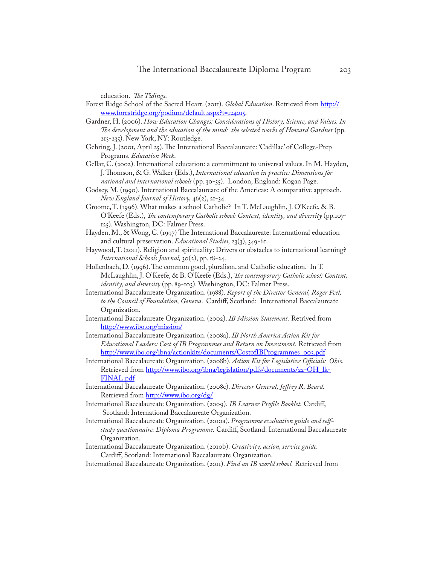education. *The Tidings*.

- Forest Ridge School of the Sacred Heart. (2011). *Global Education*. Retrieved from [http://](http://www.forestridge.org/podium/default.aspx?t=124015) [www.forestridge.org/podium/default.aspx?t=124015](http://www.forestridge.org/podium/default.aspx?t=124015).
- Gardner, H. (2006). *How Education Changes: Considerations of History, Science, and Values. In*  The development and the education of the mind: the selected works of Howard Gardner (pp. 213-235). New York, NY: Routledge.
- Gehring, J. (2001, April 25). The International Baccalaureate: 'Cadillac' of College-Prep Programs. *Education Week*.
- Gellar, C. (2002). International education: a commitment to universal values. In M. Hayden, J. Thomson, & G. Walker (Eds.), *International education in practice: Dimensions for national and international schools* (pp. 30-35). London, England: Kogan Page.
- Godsey, M. (1990). International Baccalaureate of the Americas: A comparative approach. *New England Journal of History,* 46(2), 21-34.
- Groome, T. (1996). What makes a school Catholic? In T. McLaughlin, J. O'Keefe, & B. O'Keefe (Eds.), *The contemporary Catholic school: Context, identity, and diversity* (pp.107- 125). Washington, DC: Falmer Press.
- Hayden, M., & Wong, C. (1997) The International Baccalaureate: International education and cultural preservation. *Educational Studies,* 23(3), 349-61.
- Haywood, T. (2011). Religion and spirituality: Drivers or obstacles to international learning? *International Schools Journal,* 30(2), pp. 18-24.
- Hollenbach, D. (1996). The common good, pluralism, and Catholic education. In T. McLaughlin, J. O'Keefe, & B. O'Keefe (Eds.), *The contemporary Catholic school: Context, identity, and diversity* (pp. 89-103). Washington, DC: Falmer Press.
- International Baccalaureate Organization. (1988). *Report of the Director General, Roger Peel, to the Council of Foundation, Geneva*. Cardiff, Scotland: International Baccalaureate Organization.
- International Baccalaureate Organization. (2002). *IB Mission Statement.* Retrived from <http://www.ibo.org/mission/>
- International Baccalaureate Organization. (2008a). *IB North America Action Kit for Educational Leaders: Cost of IB Programmes and Return on Investment.* Retrieved from [http://www.ibo.org/ibna/actionkits/documents/CostofIBProgrammes\\_003.pdf](http://www.ibo.org/ibna/actionkits/documents/CostofIBProgrammes_003.pdf)
- International Baccalaureate Organization. (2008b). *Action Kit for Legislative Officials: Ohio.*  Retrieved from [http://www.ibo.org/ibna/legislation/pdfs/documents/22-OH\\_lk-](http://www.ibo.org/ibna/legislation/pdfs/documents/22-OH_lk-FINAL.pdf)[FINAL.pdf](http://www.ibo.org/ibna/legislation/pdfs/documents/22-OH_lk-FINAL.pdf)
- International Baccalaureate Organization. (2008c). *Director General, Jeffrey R. Beard.*  Retrieved from<http://www.ibo.org/dg/>
- International Baccalaureate Organization. (2009). *IB Learner Profile Booklet.* Cardiff, Scotland: International Baccalaureate Organization.
- International Baccalaureate Organization. (2010a). *Programme evaluation guide and selfstudy questionnaire: Diploma Programme.* Cardiff, Scotland: International Baccalaureate Organization.
- International Baccalaureate Organization. (2010b). *Creativity, action, service guide.* Cardiff, Scotland: International Baccalaureate Organization.
- International Baccalaureate Organization. (2011). *Find an IB world school.* Retrieved from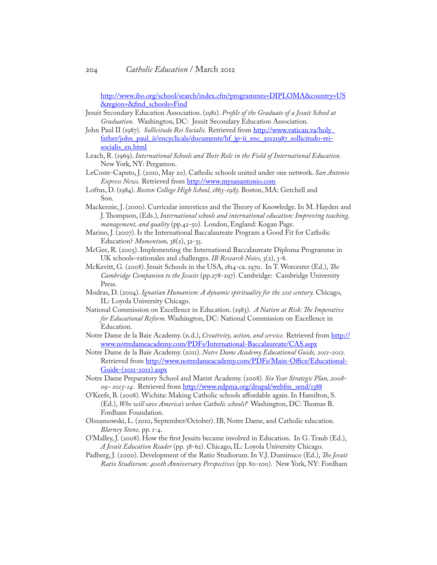[http://www.ibo.org/school/search/index.cfm?programmes=DIPLOMA&country=US](http://www.ibo.org/school/search/index.cfm?programmes=DIPLOMA&country=US®ion=&find_schools=Find) [&region=&find\\_schools=Find](http://www.ibo.org/school/search/index.cfm?programmes=DIPLOMA&country=US®ion=&find_schools=Find)

Jesuit Secondary Education Association. (1981). *Profile of the Graduate of a Jesuit School at Graduation.* Washington, DC: Jesuit Secondary Education Association.

- John Paul II (1987). *Sollicitudo Rei Socialis.* Retrieved from [http://www.vatican.va/holy\\_](http://www.vatican.va/holy_father/john_paul_ii/encyclicals/documents/hf_jp-ii_enc_30121987_sollicitudo-rei-socialis_en.html) [father/john\\_paul\\_ii/encyclicals/documents/hf\\_jp-ii\\_enc\\_30121987\\_sollicitudo-rei](http://www.vatican.va/holy_father/john_paul_ii/encyclicals/documents/hf_jp-ii_enc_30121987_sollicitudo-rei-socialis_en.html)[socialis\\_en.html](http://www.vatican.va/holy_father/john_paul_ii/encyclicals/documents/hf_jp-ii_enc_30121987_sollicitudo-rei-socialis_en.html)
- Leach, R. (1969). *International Schools and Their Role in the Field of International Education.* New York, NY: Pergamon.
- LeCoste-Caputo, J. (2010, May 20). [Catholic schools united under one network](http://www.mysanantonio.com/news/education/catholic_schools_united_under_one_network_94363909.html). *San Antonio Express News.* Retrieved from <http://www.mysanantonio.com>
- Loftus, D. (1984). *Boston College High School, 1863-1983*. Boston, MA: Getchell and Son.
- Mackenzie, J. (2000). Curricular interstices and the Theory of Knowledge. In M. Hayden and J. Thompson, (Eds.), *International schools and international education: Improving teaching, management, and quality* (pp.42-50)*.* London, England: Kogan Page.
- Marino, J. (2007). Is the International Baccalaureate Program a Good Fit for Catholic Education? *Momentum,* 38(2), 32-35.
- McGee, R. (2003). Implementing the International Baccalaureate Diploma Programme in UK schools–rationales and challenges. *IB Research Notes,* 3(2), 3-8.
- McKevitt, G. (2008). Jesuit Schools in the USA, 1814-ca. 1970. In T. Worcester (Ed.), *The Cambridge Companion to the Jesuits* (pp.278-297). Cambridge: Cambridge University Press.
- Modras, D. (2004). *Ignatian Humanism: A dynamic spirituality for the 21st century.* Chicago, IL: Loyola University Chicago.
- National Commission on Excellence in Education. (1983). *A Nation at Risk: The Imperative for Educational Reform.* Washington, DC: National Commission on Excellence in Education.
- Notre Dame de la Baie Academy. (n.d.), *Creativity, action, and service.* Retrieved from [http://](http://www.notredameacademy.com/PDFs/International-Baccalaureate/CAS.aspx) [www.notredameacademy.com/PDFs/International-Baccalaureate/CAS.aspx](http://www.notredameacademy.com/PDFs/International-Baccalaureate/CAS.aspx)
- Notre Dame de la Baie Academy. (2011). *Notre Dame Academy Educational Guide, 2011-2012.*  Retrieved from [http://www.notredameacademy.com/PDFs/Main-Office/Educational-](http://www.notredameacademy.com/PDFs/Main-Office/Educational-Guide-(2011-2012).aspx)[Guide-\(2011-2012\).aspx](http://www.notredameacademy.com/PDFs/Main-Office/Educational-Guide-(2011-2012).aspx)
- Notre Dame Preparatory School and Marist Academy. (2008)*. Six Year Strategic Plan, 2008- 09- 2013-14*. Retrieved from [http://www.ndpma.org/drupal/webfm\\_send/1388](http://www.ndpma.org/drupal/webfm_send/1388)
- O'Keefe, B. (2008). Wichita: Making Catholic schools affordable again. In Hamilton, S. (Ed.), *Who will save America's urban Catholic schools?* Washington, DC: Thomas B. Fordham Foundation.
- Olszamowski, L. (2010, September/October). IB, Notre Dame, and Catholic education. *Blarney Stone,* pp. 1-4.
- O'Malley, J. (2008). How the first Jesuits became involved in Education. In G. Traub (Ed.), *A Jesuit Education Reader* (pp. 38-62). Chicago, IL: Loyola University Chicago.

Padberg, J. (2000). Development of the Ratio Studiorum. In V.J. Duminuco (Ed.), *The Jesuit Ratio Studiorum: 400th Anniversary Perspectives* (pp. 80-100). New York, NY: Fordham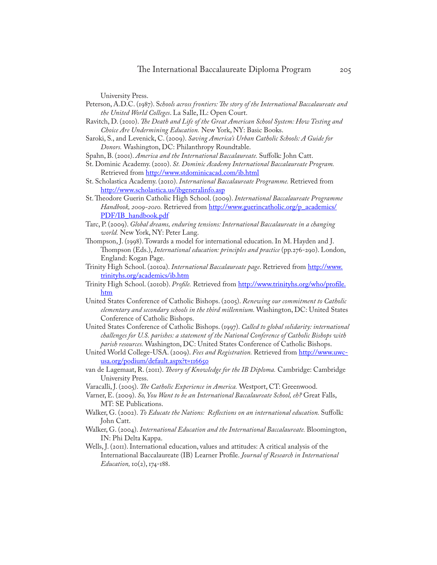University Press.

- Peterson, A.D.C. (1987). S*chools across frontiers: The story of the International Baccalaureate and the United World Colleges*. La Salle, IL: Open Court.
- Ravitch, D. (2010). *The Death and Life of the Great American School System: How Testing and Choice Are Undermining Education.* New York, NY: Basic Books.
- Saroki, S., and Levenick, C. (2009). *Saving America's Urban Catholic Schools: A Guide for Donors.* Washington, DC: Philanthropy Roundtable.
- Spahn, B. (2001). *America and the International Baccalaureate.* Suffolk: John Catt.
- St. Dominic Academy. (2010). *St. Dominic Academy International Baccalaureate Program.*  Retrieved from<http://www.stdominicacad.com/ib.html>
- St. Scholastica Academy. (2010). *International Baccalaureate Programme.* Retrieved from <http://www.scholastica.us/ibgeneralinfo.asp>
- St. Theodore Guerin Catholic High School. (2009). *International Baccalaureate Programme*  Handbook, 2009-2010. Retrieved from [http://www.guerincatholic.org/p\\_academics/](http://www.guerincatholic.org/p_academics/PDF/IB_handbook.pdf) [PDF/IB\\_handbook.pdf](http://www.guerincatholic.org/p_academics/PDF/IB_handbook.pdf)
- Tarc, P. (2009). *Global dreams, enduring tensions: International Baccalaureate in a changing world.* New York, NY: Peter Lang.
- Thompson, J. (1998). Towards a model for international education. In M. Hayden and J. Thompson (Eds.), *International education: principles and practice* (pp.276-290). London, England: Kogan Page.
- Trinity High School. (2010a). *International Baccalaureate page*. Retrieved from [http://www.](http://www.trinityhs.org/academics/ib.htm) [trinityhs.org/academics/ib.htm](http://www.trinityhs.org/academics/ib.htm)
- Trinity High School. (2010b). *Profile.* Retrieved from [http://www.trinityhs.org/who/profile.](http://www.trinityhs.org/who/profile.htm) [htm](http://www.trinityhs.org/who/profile.htm)
- United States Conference of Catholic Bishops. (2005). *Renewing our commitment to Catholic elementary and secondary schools in the third millennium.* Washington, DC: United States Conference of Catholic Bishops.
- United States Conference of Catholic Bishops. (1997). *Called to global solidarity: international challenges for U.S. parishes: a statement of the National Conference of Catholic Bishops with parish resources.* Washington, DC: United States Conference of Catholic Bishops.
- United World College-USA. (2009). *Fees and Registration.* Retrieved from [http://www.uwc](http://www.uwc-usa.org/podium/default.aspx?t=116650)[usa.org/podium/default.aspx?t=116650](http://www.uwc-usa.org/podium/default.aspx?t=116650)
- van de Lagemaat, R. (2011). *Theory of Knowledge for the IB Diploma.* Cambridge: Cambridge University Press.
- Varacalli, J. (2005). *The Catholic Experience in America.* Westport, CT: Greenwood.
- Varner, E. (2009). *So, You Want to be an International Baccalaureate School, eh?* Great Falls, MT: SE Publications.
- Walker, G. (2002). *To Educate the Nations: Reflections on an international education.* Suffolk: John Catt.
- Walker, G. (2004). *International Education and the International Baccalaureate.* Bloomington, IN: Phi Delta Kappa.
- Wells, J. (2011). International education, values and attitudes: A critical analysis of the International Baccalaureate (IB) Learner Profile. *Journal of Research in International Education*,  $10(2)$ ,  $174-188$ .